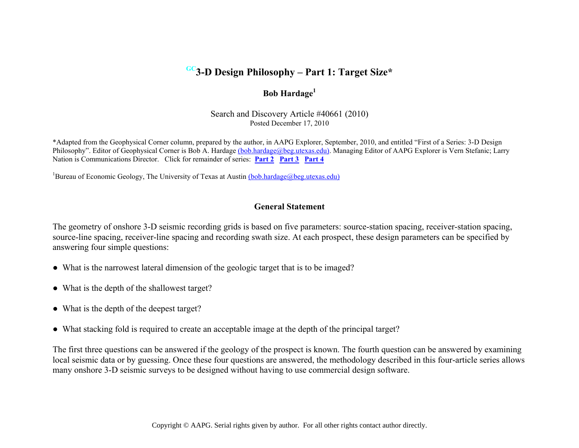# **GC3-D Design Philosophy – Part 1: Target Size\***

## **Bob Hardage<sup>1</sup>**

Search and Discovery Article #40661 (2010) Posted December 17, 2010

\*Adapted from the Geophysical Corner column, prepared by the author, in AAPG Explorer, September, 2010, and entitled "First of a Series: 3-D Design Philosophy". Editor of Geophysical Corner is Bob A. Hardage [\(bob.hardage@beg.utexas.edu\).](mailto:bob.hardage@beg.utexas.edu) Managing Editor of AAPG Explorer is Vern Stefanic; Larry Nation is Communications Director. Click for remainder of series: **[Part 2](http://www.searchanddiscovery.com/documents/2010/40662hardage/) [Part 3](http://www.searchanddiscovery.com/documents/2010/40663hardage/) [Part 4](http://www.searchanddiscovery.com/documents/2010/40664hardage/)**

<sup>1</sup>Bureau of Economic Geology, The University of Texas at Austi[n \(bob.hardage@beg.utexas.edu\)](mailto:bob.hardage@beg.utexas.edu)

### **General Statement**

The geometry of onshore 3-D seismic recording grids is based on five parameters: source-station spacing, receiver-station spacing, source-line spacing, receiver-line spacing and recording swath size. At each prospect, these design parameters can be specified by answering four simple questions:

- What is the narrowest lateral dimension of the geologic target that is to be imaged?
- What is the depth of the shallowest target?
- What is the depth of the deepest target?
- What stacking fold is required to create an acceptable image at the depth of the principal target?

The first three questions can be answered if the geology of the prospect is known. The fourth question can be answered by examining local seismic data or by guessing. Once these four questions are answered, the methodology described in this four-article series allows many onshore 3-D seismic surveys to be designed without having to use commercial design software.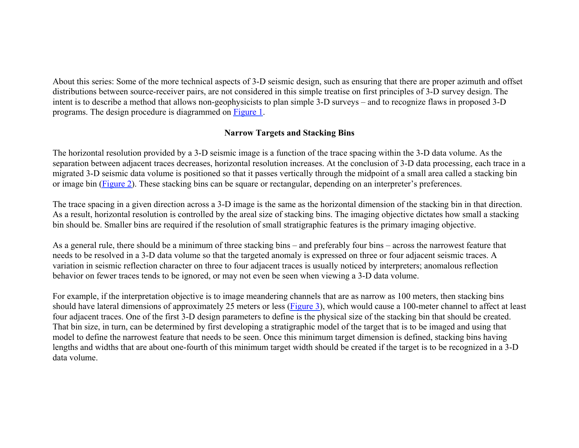About this series: Some of the more technical aspects of 3-D seismic design, such as ensuring that there are proper azimuth and offset distributions between source-receiver pairs, are not considered in this simple treatise on first principles of 3-D survey design. The intent is to describe a method that allows non-geophysicists to plan simple 3-D surveys – and to recognize flaws in proposed 3-D programs. The design procedure is diagrammed on [Figure 1.](#page-3-0)

### **Narrow Targets and Stacking Bins**

The horizontal resolution provided by a 3-D seismic image is a function of the trace spacing within the 3-D data volume. As the separation between adjacent traces decreases, horizontal resolution increases. At the conclusion of 3-D data processing, each trace in a migrated 3-D seismic data volume is positioned so that it passes vertically through the midpoint of a small area called a stacking bin or image bin [\(Figure 2](#page-4-0)). These stacking bins can be square or rectangular, depending on an interpreter's preferences.

The trace spacing in a given direction across a 3-D image is the same as the horizontal dimension of the stacking bin in that direction. As a result, horizontal resolution is controlled by the areal size of stacking bins. The imaging objective dictates how small a stacking bin should be. Smaller bins are required if the resolution of small stratigraphic features is the primary imaging objective.

As a general rule, there should be a minimum of three stacking bins – and preferably four bins – across the narrowest feature that needs to be resolved in a 3-D data volume so that the targeted anomaly is expressed on three or four adjacent seismic traces. A variation in seismic reflection character on three to four adjacent traces is usually noticed by interpreters; anomalous reflection behavior on fewer traces tends to be ignored, or may not even be seen when viewing a 3-D data volume.

For example, if the interpretation objective is to image meandering channels that are as narrow as 100 meters, then stacking bins should have lateral dimensions of approximately 25 meters or less [\(Figure 3](#page-5-0)), which would cause a 100-meter channel to affect at least four adjacent traces. One of the first 3-D design parameters to define is the physical size of the stacking bin that should be created. That bin size, in turn, can be determined by first developing a stratigraphic model of the target that is to be imaged and using that model to define the narrowest feature that needs to be seen. Once this minimum target dimension is defined, stacking bins having lengths and widths that are about one-fourth of this minimum target width should be created if the target is to be recognized in a 3-D data volume.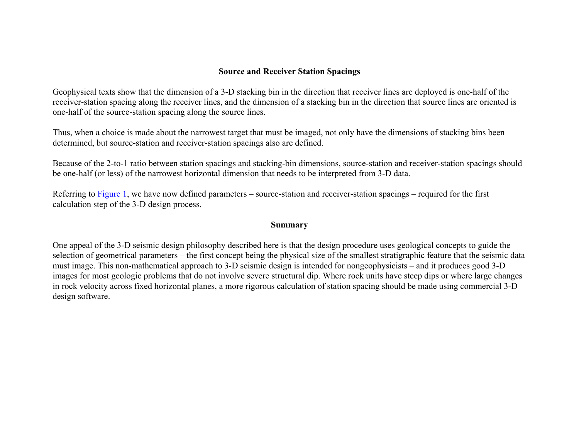### **Source and Receiver Station Spacings**

Geophysical texts show that the dimension of a 3-D stacking bin in the direction that receiver lines are deployed is one-half of the receiver-station spacing along the receiver lines, and the dimension of a stacking bin in the direction that source lines are oriented is one-half of the source-station spacing along the source lines.

Thus, when a choice is made about the narrowest target that must be imaged, not only have the dimensions of stacking bins been determined, but source-station and receiver-station spacings also are defined.

Because of the 2-to-1 ratio between station spacings and stacking-bin dimensions, source-station and receiver-station spacings should be one-half (or less) of the narrowest horizontal dimension that needs to be interpreted from 3-D data.

Referring to [Figure 1](#page-3-0), we have now defined parameters – source-station and receiver-station spacings – required for the first calculation step of the 3-D design process.

#### **Summary**

One appeal of the 3-D seismic design philosophy described here is that the design procedure uses geological concepts to guide the selection of geometrical parameters – the first concept being the physical size of the smallest stratigraphic feature that the seismic data must image. This non-mathematical approach to 3-D seismic design is intended for nongeophysicists – and it produces good 3-D images for most geologic problems that do not involve severe structural dip. Where rock units have steep dips or where large changes in rock velocity across fixed horizontal planes, a more rigorous calculation of station spacing should be made using commercial 3-D design software.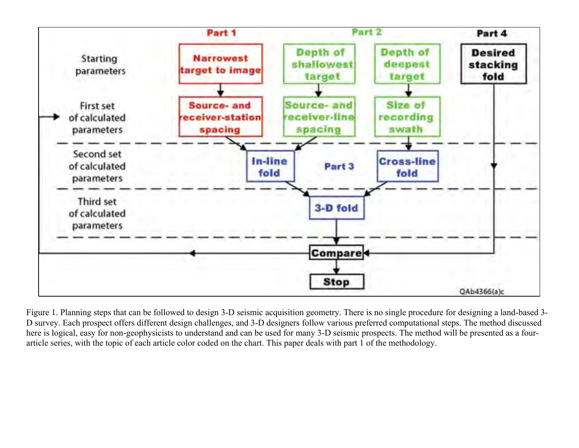<span id="page-3-0"></span>

Figure 1. Planning steps that can be followed to design 3-D seismic acquisition geometry. There is no single procedure for designing a land-based 3- D survey. Each prospect offers different design challenges, and 3-D designers follow various preferred computational steps. The method discussed here is logical, easy for non-geophysicists to understand and can be used for many 3-D seismic prospects. The method will be presented as a fourarticle series, with the topic of each article color coded on the chart. This paper deals with part 1 of the methodology.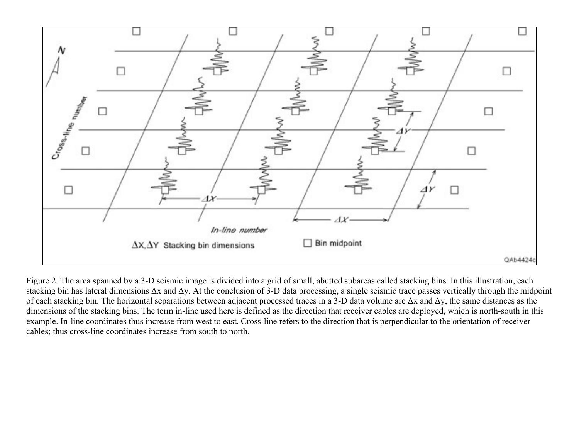<span id="page-4-0"></span>

Figure 2. The area spanned by a 3-D seismic image is divided into a grid of small, abutted subareas called stacking bins. In this illustration, each stacking bin has lateral dimensions Δx and Δy. At the conclusion of 3-D data processing, a single seismic trace passes vertically through the midpoint of each stacking bin. The horizontal separations between adjacent processed traces in a 3-D data volume are  $\Delta x$  and  $\Delta y$ , the same distances as the dimensions of the stacking bins. The term in-line used here is defined as the direction that receiver cables are deployed, which is north-south in this example. In-line coordinates thus increase from west to east. Cross-line refers to the direction that is perpendicular to the orientation of receiver cables; thus cross-line coordinates increase from south to north.